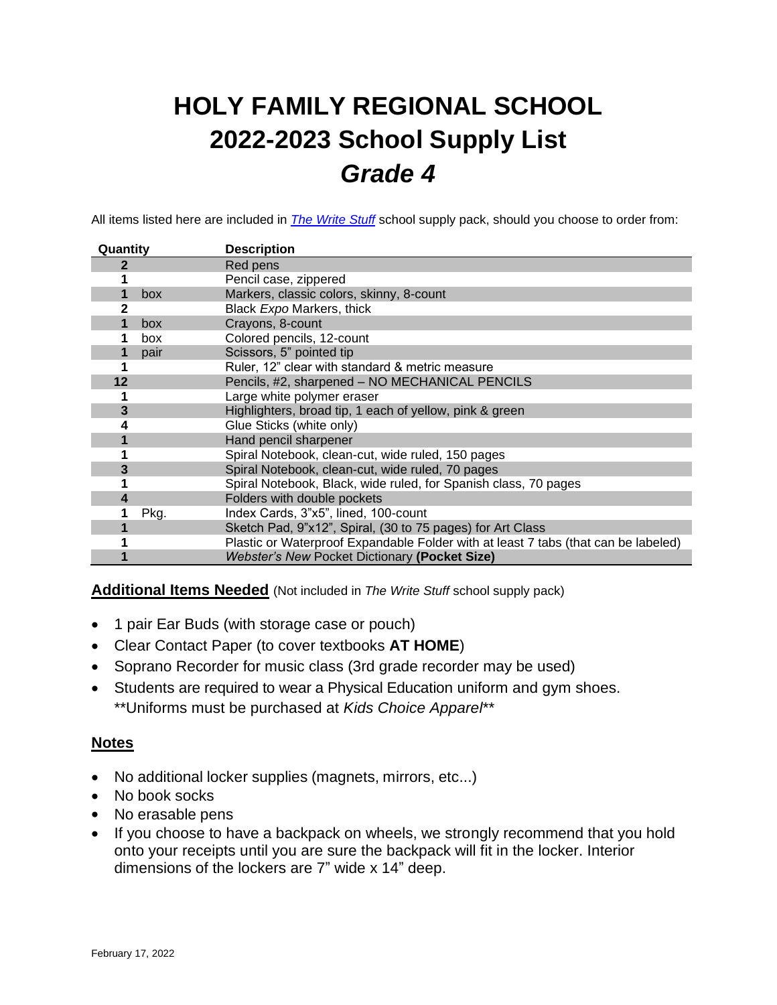## **HOLY FAMILY REGIONAL SCHOOL 2022-2023 School Supply List** *Grade 4*

All items listed here are included in *[The Write Stuff](https://www.write-stuff.com/storefront/school/hfrs)* school supply pack, should you choose to order from:

| Quantity |      | <b>Description</b>                                                                 |
|----------|------|------------------------------------------------------------------------------------|
|          |      | Red pens                                                                           |
|          |      | Pencil case, zippered                                                              |
|          | box  | Markers, classic colors, skinny, 8-count                                           |
|          |      | Black Expo Markers, thick                                                          |
|          | box  | Crayons, 8-count                                                                   |
|          | box  | Colored pencils, 12-count                                                          |
|          | pair | Scissors, 5" pointed tip                                                           |
|          |      | Ruler, 12" clear with standard & metric measure                                    |
| 12       |      | Pencils, #2, sharpened - NO MECHANICAL PENCILS                                     |
|          |      | Large white polymer eraser                                                         |
| 3        |      | Highlighters, broad tip, 1 each of yellow, pink & green                            |
| 4        |      | Glue Sticks (white only)                                                           |
|          |      | Hand pencil sharpener                                                              |
|          |      | Spiral Notebook, clean-cut, wide ruled, 150 pages                                  |
| 3        |      | Spiral Notebook, clean-cut, wide ruled, 70 pages                                   |
|          |      | Spiral Notebook, Black, wide ruled, for Spanish class, 70 pages                    |
| 4        |      | Folders with double pockets                                                        |
|          | Pkg. | Index Cards, 3"x5", lined, 100-count                                               |
|          |      | Sketch Pad, 9"x12", Spiral, (30 to 75 pages) for Art Class                         |
|          |      | Plastic or Waterproof Expandable Folder with at least 7 tabs (that can be labeled) |
|          |      | Webster's New Pocket Dictionary (Pocket Size)                                      |

**Additional Items Needed** (Not included in *The Write Stuff* school supply pack)

- 1 pair Ear Buds (with storage case or pouch)
- Clear Contact Paper (to cover textbooks **AT HOME**)
- Soprano Recorder for music class (3rd grade recorder may be used)
- Students are required to wear a Physical Education uniform and gym shoes. \*\*Uniforms must be purchased at *Kids Choice Apparel*\*\*

## **Notes**

- No additional locker supplies (magnets, mirrors, etc...)
- No book socks
- No erasable pens
- If you choose to have a backpack on wheels, we strongly recommend that you hold onto your receipts until you are sure the backpack will fit in the locker. Interior dimensions of the lockers are 7" wide x 14" deep.